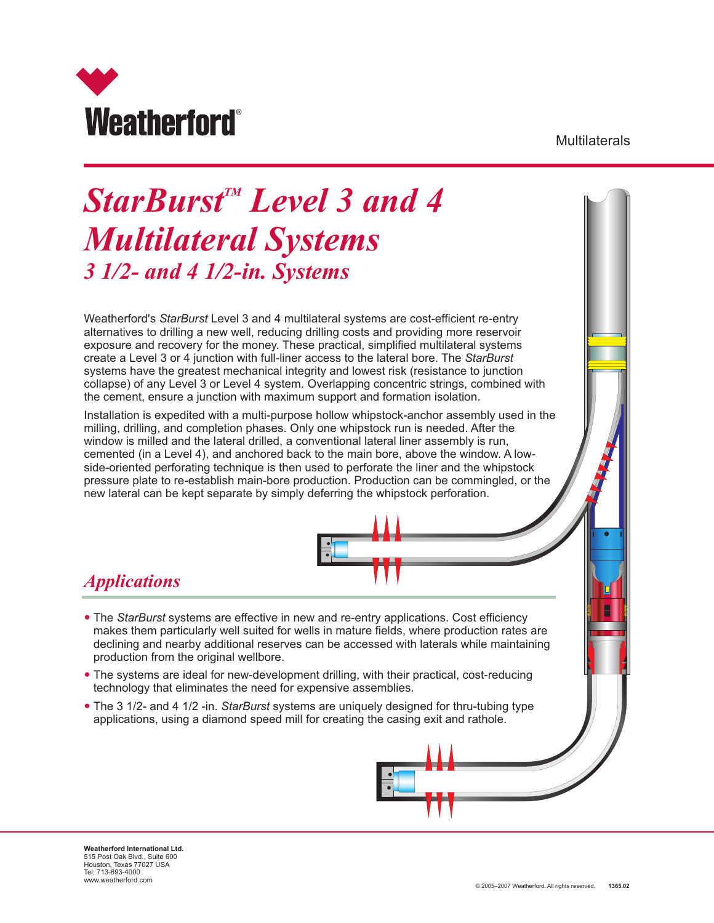

**Multilaterals** 

# **StarBurst<sup>™</sup> Level 3 and 4** *Multilateral Systems 3 1/2- and 4 1/2-in. Systems*

Weatherford's *StarBurst* Level 3 and 4 multilateral systems are cost-efficient re-entry alternatives to drilling a new well, reducing drilling costs and providing more reservoir exposure and recovery for the money. These practical, simplified multilateral systems create a Level 3 or 4 junction with full-liner access to the lateral bore. The *StarBurst* systems have the greatest mechanical integrity and lowest risk (resistance to junction collapse) of any Level 3 or Level 4 system. Overlapping concentric strings, combined with the cement, ensure a junction with maximum support and formation isolation.

Installation is expedited with a multi-purpose hollow whipstock-anchor assembly used in the milling, drilling, and completion phases. Only one whipstock run is needed. After the window is milled and the lateral drilled, a conventional lateral liner assembly is run, cemented (in a Level 4), and anchored back to the main bore, above the window. A lowside-oriented perforating technique is then used to perforate the liner and the whipstock pressure plate to re-establish main-bore production. Production can be commingled, or the new lateral can be kept separate by simply deferring the whipstock perforation.

## *Applications*

- —The *StarBurst* systems are effective in new and re-entry applications. Cost efficiency makes them particularly well suited for wells in mature fields, where production rates are declining and nearby additional reserves can be accessed with laterals while maintaining production from the original wellbore.
- The systems are ideal for new-development drilling, with their practical, cost-reducing technology that eliminates the need for expensive assemblies.
- The 3 1/2- and 4 1/2 -in. *StarBurst* systems are uniquely designed for thru-tubing type applications, using a diamond speed mill for creating the casing exit and rathole.